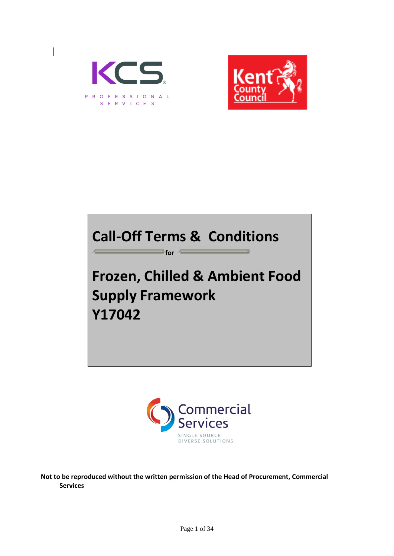



## **Call-Off Terms & Conditions**

**for** 

# **Frozen, Chilled & Ambient Food Supply Framework Y17042**



**Not to be reproduced without the written permission of the Head of Procurement, Commercial Services**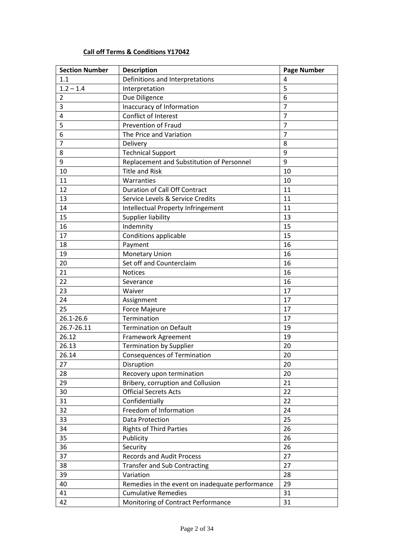## **Call off Terms & Conditions Y17042**

| <b>Section Number</b>   | <b>Description</b>                              | <b>Page Number</b> |
|-------------------------|-------------------------------------------------|--------------------|
| 1.1                     | Definitions and Interpretations                 | $\overline{4}$     |
| $1.2 - 1.4$             | Interpretation                                  | 5                  |
| $\overline{2}$          | Due Diligence                                   | 6                  |
| 3                       | Inaccuracy of Information                       | $\overline{7}$     |
| $\overline{\mathbf{4}}$ | Conflict of Interest                            | $\overline{7}$     |
| 5                       | <b>Prevention of Fraud</b>                      | $\overline{7}$     |
| 6                       | The Price and Variation                         | $\overline{7}$     |
| $\overline{7}$          | Delivery                                        | 8                  |
| 8                       | <b>Technical Support</b>                        | 9                  |
| 9                       | Replacement and Substitution of Personnel       | 9                  |
| 10                      | <b>Title and Risk</b>                           | 10                 |
| 11                      | Warranties                                      | 10                 |
| 12                      | <b>Duration of Call Off Contract</b>            | 11                 |
| 13                      | Service Levels & Service Credits                | 11                 |
| 14                      | Intellectual Property Infringement              | 11                 |
| 15                      | Supplier liability                              | 13                 |
| 16                      | Indemnity                                       | 15                 |
| 17                      | Conditions applicable                           | 15                 |
| 18                      | Payment                                         | 16                 |
| 19                      | Monetary Union                                  | 16                 |
| 20                      | Set off and Counterclaim                        | 16                 |
| 21                      | <b>Notices</b>                                  | 16                 |
| 22                      | Severance                                       | 16                 |
| 23                      | Waiver                                          | 17                 |
| 24                      | Assignment                                      | 17                 |
| 25                      | <b>Force Majeure</b>                            | 17                 |
| 26.1-26.6               | Termination                                     | 17                 |
| 26.7-26.11              | <b>Termination on Default</b>                   | 19                 |
| 26.12                   | Framework Agreement                             | 19                 |
| 26.13                   | <b>Termination by Supplier</b>                  | 20                 |
| 26.14                   | <b>Consequences of Termination</b>              | 20                 |
| 27                      | Disruption                                      | 20                 |
| 28                      | Recovery upon termination                       | 20                 |
| 29                      | Bribery, corruption and Collusion               | 21                 |
| 30                      | <b>Official Secrets Acts</b>                    | 22                 |
| 31                      | Confidentially                                  | 22                 |
| 32                      | Freedom of Information                          | 24                 |
| 33                      | <b>Data Protection</b>                          | 25                 |
| 34                      | <b>Rights of Third Parties</b>                  | 26                 |
| 35                      | Publicity                                       | 26                 |
| 36                      | Security                                        | 26                 |
| 37                      | <b>Records and Audit Process</b>                | 27                 |
| 38                      | <b>Transfer and Sub Contracting</b>             | 27                 |
| 39                      | Variation                                       | 28                 |
| 40                      | Remedies in the event on inadequate performance | 29                 |
| 41                      | <b>Cumulative Remedies</b>                      | 31                 |
| 42                      | Monitoring of Contract Performance              | 31                 |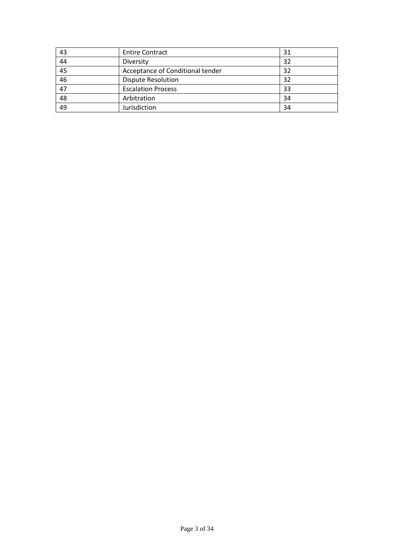| 43 | <b>Entire Contract</b>           | 31 |
|----|----------------------------------|----|
| 44 | Diversity                        | 32 |
| 45 | Acceptance of Conditional tender | 32 |
| 46 | <b>Dispute Resolution</b>        | 32 |
| 47 | <b>Escalation Process</b>        | 33 |
| 48 | Arbitration                      | 34 |
| 49 | Jurisdiction                     | 34 |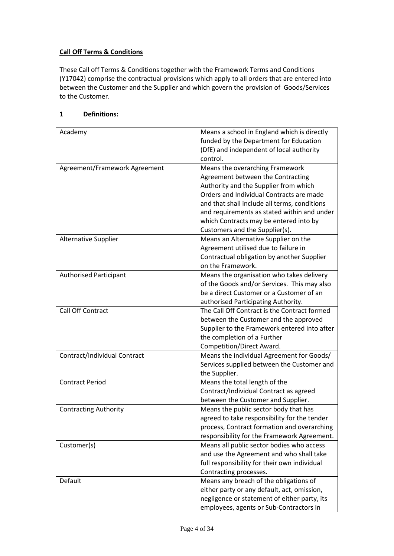## **Call Off Terms & Conditions**

These Call off Terms & Conditions together with the Framework Terms and Conditions (Y17042) comprise the contractual provisions which apply to all orders that are entered into between the Customer and the Supplier and which govern the provision of Goods/Services to the Customer.

## **1 Definitions:**

| Academy                       | Means a school in England which is directly<br>funded by the Department for Education<br>(DfE) and independent of local authority |
|-------------------------------|-----------------------------------------------------------------------------------------------------------------------------------|
|                               | control.                                                                                                                          |
| Agreement/Framework Agreement | Means the overarching Framework                                                                                                   |
|                               | Agreement between the Contracting                                                                                                 |
|                               | Authority and the Supplier from which                                                                                             |
|                               | Orders and Individual Contracts are made                                                                                          |
|                               | and that shall include all terms, conditions                                                                                      |
|                               | and requirements as stated within and under                                                                                       |
|                               | which Contracts may be entered into by                                                                                            |
|                               | Customers and the Supplier(s).                                                                                                    |
| <b>Alternative Supplier</b>   | Means an Alternative Supplier on the                                                                                              |
|                               | Agreement utilised due to failure in                                                                                              |
|                               | Contractual obligation by another Supplier                                                                                        |
|                               | on the Framework.                                                                                                                 |
| <b>Authorised Participant</b> | Means the organisation who takes delivery                                                                                         |
|                               | of the Goods and/or Services. This may also                                                                                       |
|                               | be a direct Customer or a Customer of an                                                                                          |
|                               |                                                                                                                                   |
| <b>Call Off Contract</b>      | authorised Participating Authority.<br>The Call Off Contract is the Contract formed                                               |
|                               |                                                                                                                                   |
|                               | between the Customer and the approved                                                                                             |
|                               | Supplier to the Framework entered into after                                                                                      |
|                               | the completion of a Further                                                                                                       |
|                               | Competition/Direct Award.                                                                                                         |
| Contract/Individual Contract  | Means the individual Agreement for Goods/                                                                                         |
|                               | Services supplied between the Customer and                                                                                        |
|                               | the Supplier.                                                                                                                     |
| <b>Contract Period</b>        | Means the total length of the                                                                                                     |
|                               | Contract/Individual Contract as agreed                                                                                            |
|                               | between the Customer and Supplier.                                                                                                |
| <b>Contracting Authority</b>  | Means the public sector body that has                                                                                             |
|                               | agreed to take responsibility for the tender                                                                                      |
|                               | process, Contract formation and overarching                                                                                       |
|                               | responsibility for the Framework Agreement.                                                                                       |
| Customer(s)                   | Means all public sector bodies who access                                                                                         |
|                               | and use the Agreement and who shall take                                                                                          |
|                               | full responsibility for their own individual                                                                                      |
|                               | Contracting processes.                                                                                                            |
| Default                       | Means any breach of the obligations of                                                                                            |
|                               | either party or any default, act, omission,                                                                                       |
|                               | negligence or statement of either party, its                                                                                      |
|                               | employees, agents or Sub-Contractors in                                                                                           |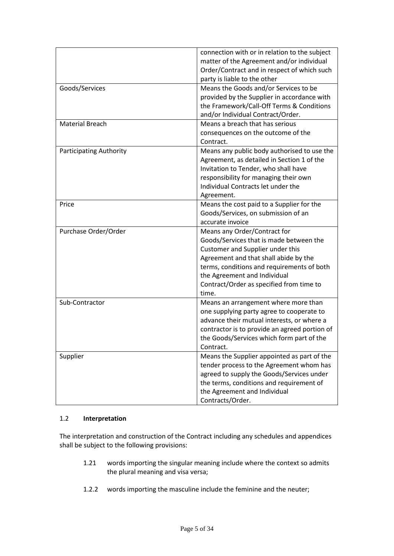|                                | connection with or in relation to the subject<br>matter of the Agreement and/or individual<br>Order/Contract and in respect of which such<br>party is liable to the other                                                                                                               |  |
|--------------------------------|-----------------------------------------------------------------------------------------------------------------------------------------------------------------------------------------------------------------------------------------------------------------------------------------|--|
| Goods/Services                 | Means the Goods and/or Services to be<br>provided by the Supplier in accordance with<br>the Framework/Call-Off Terms & Conditions<br>and/or Individual Contract/Order.                                                                                                                  |  |
| <b>Material Breach</b>         | Means a breach that has serious<br>consequences on the outcome of the<br>Contract.                                                                                                                                                                                                      |  |
| <b>Participating Authority</b> | Means any public body authorised to use the<br>Agreement, as detailed in Section 1 of the<br>Invitation to Tender, who shall have<br>responsibility for managing their own<br>Individual Contracts let under the<br>Agreement.                                                          |  |
| Price                          | Means the cost paid to a Supplier for the<br>Goods/Services, on submission of an<br>accurate invoice                                                                                                                                                                                    |  |
| Purchase Order/Order           | Means any Order/Contract for<br>Goods/Services that is made between the<br>Customer and Supplier under this<br>Agreement and that shall abide by the<br>terms, conditions and requirements of both<br>the Agreement and Individual<br>Contract/Order as specified from time to<br>time. |  |
| Sub-Contractor                 | Means an arrangement where more than<br>one supplying party agree to cooperate to<br>advance their mutual interests, or where a<br>contractor is to provide an agreed portion of<br>the Goods/Services which form part of the<br>Contract.                                              |  |
| Supplier                       | Means the Supplier appointed as part of the<br>tender process to the Agreement whom has                                                                                                                                                                                                 |  |

## 1.2 **Interpretation**

The interpretation and construction of the Contract including any schedules and appendices shall be subject to the following provisions:

- 1.21 words importing the singular meaning include where the context so admits the plural meaning and visa versa;
- 1.2.2 words importing the masculine include the feminine and the neuter;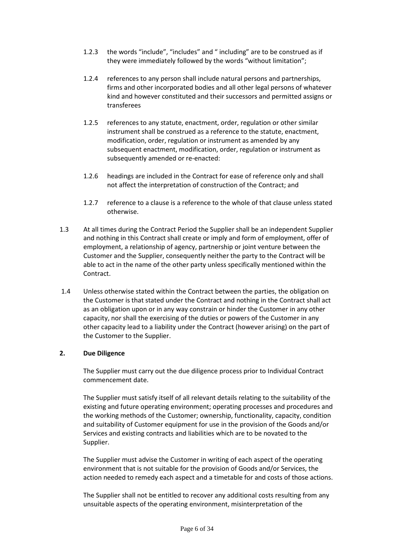- 1.2.3 the words "include", "includes" and " including" are to be construed as if they were immediately followed by the words "without limitation";
- 1.2.4 references to any person shall include natural persons and partnerships, firms and other incorporated bodies and all other legal persons of whatever kind and however constituted and their successors and permitted assigns or transferees
- 1.2.5 references to any statute, enactment, order, regulation or other similar instrument shall be construed as a reference to the statute, enactment, modification, order, regulation or instrument as amended by any subsequent enactment, modification, order, regulation or instrument as subsequently amended or re-enacted:
- 1.2.6 headings are included in the Contract for ease of reference only and shall not affect the interpretation of construction of the Contract; and
- 1.2.7 reference to a clause is a reference to the whole of that clause unless stated otherwise.
- 1.3 At all times during the Contract Period the Supplier shall be an independent Supplier and nothing in this Contract shall create or imply and form of employment, offer of employment, a relationship of agency, partnership or joint venture between the Customer and the Supplier, consequently neither the party to the Contract will be able to act in the name of the other party unless specifically mentioned within the Contract.
- 1.4 Unless otherwise stated within the Contract between the parties, the obligation on the Customer is that stated under the Contract and nothing in the Contract shall act as an obligation upon or in any way constrain or hinder the Customer in any other capacity, nor shall the exercising of the duties or powers of the Customer in any other capacity lead to a liability under the Contract (however arising) on the part of the Customer to the Supplier.

#### **2. Due Diligence**

The Supplier must carry out the due diligence process prior to Individual Contract commencement date.

The Supplier must satisfy itself of all relevant details relating to the suitability of the existing and future operating environment; operating processes and procedures and the working methods of the Customer; ownership, functionality, capacity, condition and suitability of Customer equipment for use in the provision of the Goods and/or Services and existing contracts and liabilities which are to be novated to the Supplier.

The Supplier must advise the Customer in writing of each aspect of the operating environment that is not suitable for the provision of Goods and/or Services, the action needed to remedy each aspect and a timetable for and costs of those actions.

The Supplier shall not be entitled to recover any additional costs resulting from any unsuitable aspects of the operating environment, misinterpretation of the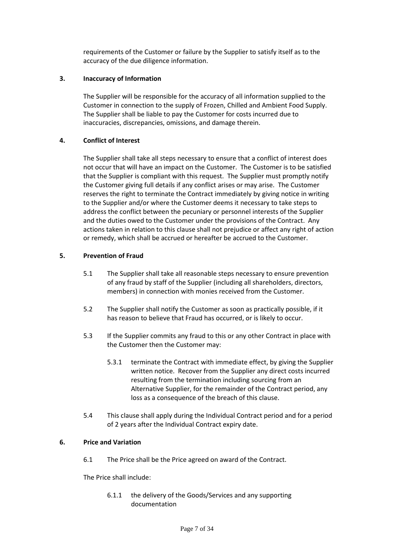requirements of the Customer or failure by the Supplier to satisfy itself as to the accuracy of the due diligence information.

#### **3. Inaccuracy of Information**

The Supplier will be responsible for the accuracy of all information supplied to the Customer in connection to the supply of Frozen, Chilled and Ambient Food Supply. The Supplier shall be liable to pay the Customer for costs incurred due to inaccuracies, discrepancies, omissions, and damage therein.

#### **4. Conflict of Interest**

The Supplier shall take all steps necessary to ensure that a conflict of interest does not occur that will have an impact on the Customer. The Customer is to be satisfied that the Supplier is compliant with this request. The Supplier must promptly notify the Customer giving full details if any conflict arises or may arise. The Customer reserves the right to terminate the Contract immediately by giving notice in writing to the Supplier and/or where the Customer deems it necessary to take steps to address the conflict between the pecuniary or personnel interests of the Supplier and the duties owed to the Customer under the provisions of the Contract. Any actions taken in relation to this clause shall not prejudice or affect any right of action or remedy, which shall be accrued or hereafter be accrued to the Customer.

#### **5. Prevention of Fraud**

- 5.1 The Supplier shall take all reasonable steps necessary to ensure prevention of any fraud by staff of the Supplier (including all shareholders, directors, members) in connection with monies received from the Customer.
- 5.2 The Supplier shall notify the Customer as soon as practically possible, if it has reason to believe that Fraud has occurred, or is likely to occur.
- 5.3 If the Supplier commits any fraud to this or any other Contract in place with the Customer then the Customer may:
	- 5.3.1 terminate the Contract with immediate effect, by giving the Supplier written notice. Recover from the Supplier any direct costs incurred resulting from the termination including sourcing from an Alternative Supplier, for the remainder of the Contract period, any loss as a consequence of the breach of this clause.
- 5.4 This clause shall apply during the Individual Contract period and for a period of 2 years after the Individual Contract expiry date.

#### **6. Price and Variation**

6.1 The Price shall be the Price agreed on award of the Contract.

The Price shall include:

6.1.1 the delivery of the Goods/Services and any supporting documentation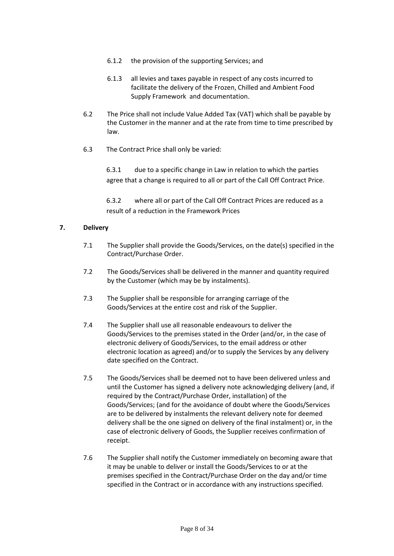- 6.1.2 the provision of the supporting Services; and
- 6.1.3 all levies and taxes payable in respect of any costs incurred to facilitate the delivery of the Frozen, Chilled and Ambient Food Supply Framework and documentation.
- 6.2 The Price shall not include Value Added Tax (VAT) which shall be payable by the Customer in the manner and at the rate from time to time prescribed by law.
- 6.3 The Contract Price shall only be varied:

6.3.1 due to a specific change in Law in relation to which the parties agree that a change is required to all or part of the Call Off Contract Price.

6.3.2 where all or part of the Call Off Contract Prices are reduced as a result of a reduction in the Framework Prices

#### **7. Delivery**

- 7.1 The Supplier shall provide the Goods/Services, on the date(s) specified in the Contract/Purchase Order.
- 7.2 The Goods/Services shall be delivered in the manner and quantity required by the Customer (which may be by instalments).
- 7.3 The Supplier shall be responsible for arranging carriage of the Goods/Services at the entire cost and risk of the Supplier.
- 7.4 The Supplier shall use all reasonable endeavours to deliver the Goods/Services to the premises stated in the Order (and/or, in the case of electronic delivery of Goods/Services, to the email address or other electronic location as agreed) and/or to supply the Services by any delivery date specified on the Contract.
- 7.5 The Goods/Services shall be deemed not to have been delivered unless and until the Customer has signed a delivery note acknowledging delivery (and, if required by the Contract/Purchase Order, installation) of the Goods/Services; (and for the avoidance of doubt where the Goods/Services are to be delivered by instalments the relevant delivery note for deemed delivery shall be the one signed on delivery of the final instalment) or, in the case of electronic delivery of Goods, the Supplier receives confirmation of receipt.
- 7.6 The Supplier shall notify the Customer immediately on becoming aware that it may be unable to deliver or install the Goods/Services to or at the premises specified in the Contract/Purchase Order on the day and/or time specified in the Contract or in accordance with any instructions specified.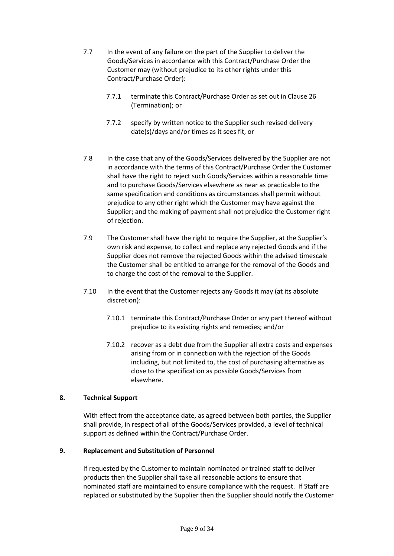- 7.7 In the event of any failure on the part of the Supplier to deliver the Goods/Services in accordance with this Contract/Purchase Order the Customer may (without prejudice to its other rights under this Contract/Purchase Order):
	- 7.7.1 terminate this Contract/Purchase Order as set out in Clause 26 (Termination); or
	- 7.7.2 specify by written notice to the Supplier such revised delivery date(s)/days and/or times as it sees fit, or
- 7.8 In the case that any of the Goods/Services delivered by the Supplier are not in accordance with the terms of this Contract/Purchase Order the Customer shall have the right to reject such Goods/Services within a reasonable time and to purchase Goods/Services elsewhere as near as practicable to the same specification and conditions as circumstances shall permit without prejudice to any other right which the Customer may have against the Supplier; and the making of payment shall not prejudice the Customer right of rejection.
- 7.9 The Customer shall have the right to require the Supplier, at the Supplier's own risk and expense, to collect and replace any rejected Goods and if the Supplier does not remove the rejected Goods within the advised timescale the Customer shall be entitled to arrange for the removal of the Goods and to charge the cost of the removal to the Supplier.
- 7.10 In the event that the Customer rejects any Goods it may (at its absolute discretion):
	- 7.10.1 terminate this Contract/Purchase Order or any part thereof without prejudice to its existing rights and remedies; and/or
	- 7.10.2 recover as a debt due from the Supplier all extra costs and expenses arising from or in connection with the rejection of the Goods including, but not limited to, the cost of purchasing alternative as close to the specification as possible Goods/Services from elsewhere.

## **8. Technical Support**

With effect from the acceptance date, as agreed between both parties, the Supplier shall provide, in respect of all of the Goods/Services provided, a level of technical support as defined within the Contract/Purchase Order.

#### **9. Replacement and Substitution of Personnel**

If requested by the Customer to maintain nominated or trained staff to deliver products then the Supplier shall take all reasonable actions to ensure that nominated staff are maintained to ensure compliance with the request. If Staff are replaced or substituted by the Supplier then the Supplier should notify the Customer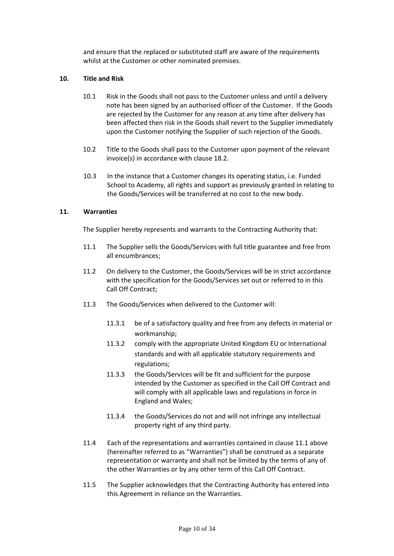and ensure that the replaced or substituted staff are aware of the requirements whilst at the Customer or other nominated premises.

#### **10. Title and Risk**

- 10.1 Risk in the Goods shall not pass to the Customer unless and until a delivery note has been signed by an authorised officer of the Customer. If the Goods are rejected by the Customer for any reason at any time after delivery has been affected then risk in the Goods shall revert to the Supplier immediately upon the Customer notifying the Supplier of such rejection of the Goods.
- 10.2 Title to the Goods shall pass to the Customer upon payment of the relevant invoice(s) in accordance with clause 18.2.
- 10.3 In the instance that a Customer changes its operating status, i.e. Funded School to Academy, all rights and support as previously granted in relating to the Goods/Services will be transferred at no cost to the new body.

#### **11. Warranties**

The Supplier hereby represents and warrants to the Contracting Authority that:

- 11.1 The Supplier sells the Goods/Services with full title guarantee and free from all encumbrances;
- 11.2 On delivery to the Customer, the Goods/Services will be in strict accordance with the specification for the Goods/Services set out or referred to in this Call Off Contract;
- 11.3 The Goods/Services when delivered to the Customer will:
	- 11.3.1 be of a satisfactory quality and free from any defects in material or workmanship;
	- 11.3.2 comply with the appropriate United Kingdom EU or International standards and with all applicable statutory requirements and regulations;
	- 11.3.3 the Goods/Services will be fit and sufficient for the purpose intended by the Customer as specified in the Call Off Contract and will comply with all applicable laws and regulations in force in England and Wales;
	- 11.3.4 the Goods/Services do not and will not infringe any intellectual property right of any third party.
- 11.4 Each of the representations and warranties contained in clause 11.1 above (hereinafter referred to as "Warranties") shall be construed as a separate representation or warranty and shall not be limited by the terms of any of the other Warranties or by any other term of this Call Off Contract.
- 11.5 The Supplier acknowledges that the Contracting Authority has entered into this Agreement in reliance on the Warranties.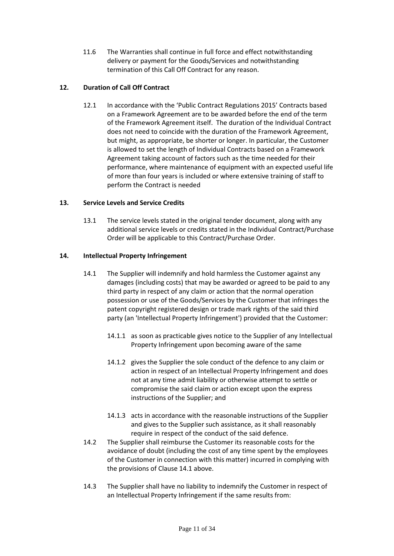11.6 The Warranties shall continue in full force and effect notwithstanding delivery or payment for the Goods/Services and notwithstanding termination of this Call Off Contract for any reason.

## **12. Duration of Call Off Contract**

12.1 In accordance with the 'Public Contract Regulations 2015' Contracts based on a Framework Agreement are to be awarded before the end of the term of the Framework Agreement itself. The duration of the Individual Contract does not need to coincide with the duration of the Framework Agreement, but might, as appropriate, be shorter or longer. In particular, the Customer is allowed to set the length of Individual Contracts based on a Framework Agreement taking account of factors such as the time needed for their performance, where maintenance of equipment with an expected useful life of more than four years is included or where extensive training of staff to perform the Contract is needed

## **13. Service Levels and Service Credits**

13.1 The service levels stated in the original tender document, along with any additional service levels or credits stated in the Individual Contract/Purchase Order will be applicable to this Contract/Purchase Order.

## **14. Intellectual Property Infringement**

- 14.1 The Supplier will indemnify and hold harmless the Customer against any damages (including costs) that may be awarded or agreed to be paid to any third party in respect of any claim or action that the normal operation possession or use of the Goods/Services by the Customer that infringes the patent copyright registered design or trade mark rights of the said third party (an 'Intellectual Property Infringement') provided that the Customer:
	- 14.1.1 as soon as practicable gives notice to the Supplier of any Intellectual Property Infringement upon becoming aware of the same
	- 14.1.2 gives the Supplier the sole conduct of the defence to any claim or action in respect of an Intellectual Property Infringement and does not at any time admit liability or otherwise attempt to settle or compromise the said claim or action except upon the express instructions of the Supplier; and
	- 14.1.3 acts in accordance with the reasonable instructions of the Supplier and gives to the Supplier such assistance, as it shall reasonably require in respect of the conduct of the said defence.
- 14.2 The Supplier shall reimburse the Customer its reasonable costs for the avoidance of doubt (including the cost of any time spent by the employees of the Customer in connection with this matter) incurred in complying with the provisions of Clause 14.1 above.
- 14.3 The Supplier shall have no liability to indemnify the Customer in respect of an Intellectual Property Infringement if the same results from: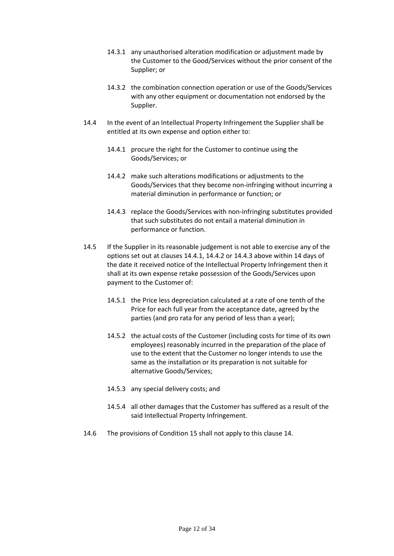- 14.3.1 any unauthorised alteration modification or adjustment made by the Customer to the Good/Services without the prior consent of the Supplier; or
- 14.3.2 the combination connection operation or use of the Goods/Services with any other equipment or documentation not endorsed by the Supplier.
- 14.4 In the event of an Intellectual Property Infringement the Supplier shall be entitled at its own expense and option either to:
	- 14.4.1 procure the right for the Customer to continue using the Goods/Services; or
	- 14.4.2 make such alterations modifications or adjustments to the Goods/Services that they become non-infringing without incurring a material diminution in performance or function; or
	- 14.4.3 replace the Goods/Services with non-infringing substitutes provided that such substitutes do not entail a material diminution in performance or function.
- 14.5 If the Supplier in its reasonable judgement is not able to exercise any of the options set out at clauses 14.4.1, 14.4.2 or 14.4.3 above within 14 days of the date it received notice of the Intellectual Property Infringement then it shall at its own expense retake possession of the Goods/Services upon payment to the Customer of:
	- 14.5.1 the Price less depreciation calculated at a rate of one tenth of the Price for each full year from the acceptance date, agreed by the parties (and pro rata for any period of less than a year);
	- 14.5.2 the actual costs of the Customer (including costs for time of its own employees) reasonably incurred in the preparation of the place of use to the extent that the Customer no longer intends to use the same as the installation or its preparation is not suitable for alternative Goods/Services;
	- 14.5.3 any special delivery costs; and
	- 14.5.4 all other damages that the Customer has suffered as a result of the said Intellectual Property Infringement.
- 14.6 The provisions of Condition 15 shall not apply to this clause 14.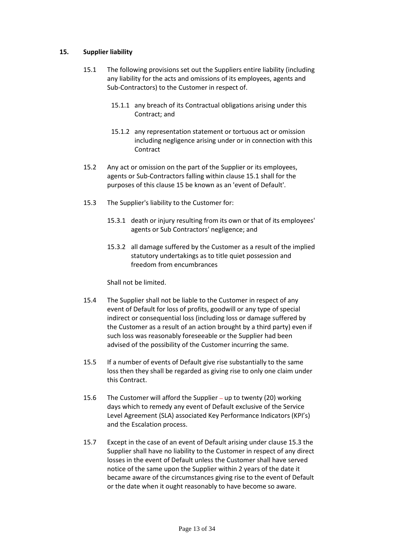#### **15. Supplier liability**

- 15.1 The following provisions set out the Suppliers entire liability (including any liability for the acts and omissions of its employees, agents and Sub-Contractors) to the Customer in respect of.
	- 15.1.1 any breach of its Contractual obligations arising under this Contract; and
	- 15.1.2 any representation statement or tortuous act or omission including negligence arising under or in connection with this **Contract**
- 15.2 Any act or omission on the part of the Supplier or its employees, agents or Sub-Contractors falling within clause 15.1 shall for the purposes of this clause 15 be known as an 'event of Default'.
- 15.3 The Supplier's liability to the Customer for:
	- 15.3.1 death or injury resulting from its own or that of its employees' agents or Sub Contractors' negligence; and
	- 15.3.2 all damage suffered by the Customer as a result of the implied statutory undertakings as to title quiet possession and freedom from encumbrances

Shall not be limited.

- 15.4 The Supplier shall not be liable to the Customer in respect of any event of Default for loss of profits, goodwill or any type of special indirect or consequential loss (including loss or damage suffered by the Customer as a result of an action brought by a third party) even if such loss was reasonably foreseeable or the Supplier had been advised of the possibility of the Customer incurring the same.
- 15.5 If a number of events of Default give rise substantially to the same loss then they shall be regarded as giving rise to only one claim under this Contract.
- 15.6 The Customer will afford the Supplier up to twenty (20) working days which to remedy any event of Default exclusive of the Service Level Agreement (SLA) associated Key Performance Indicators (KPI's) and the Escalation process.
- 15.7 Except in the case of an event of Default arising under clause 15.3 the Supplier shall have no liability to the Customer in respect of any direct losses in the event of Default unless the Customer shall have served notice of the same upon the Supplier within 2 years of the date it became aware of the circumstances giving rise to the event of Default or the date when it ought reasonably to have become so aware.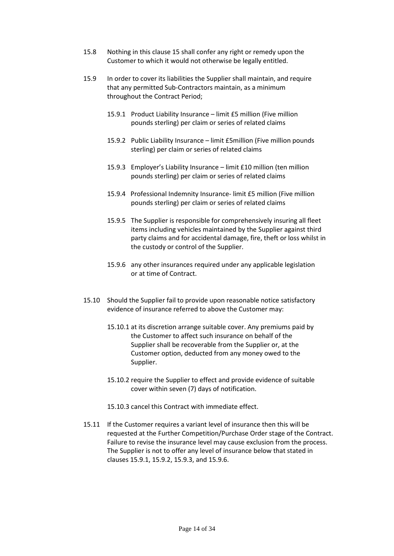- 15.8 Nothing in this clause 15 shall confer any right or remedy upon the Customer to which it would not otherwise be legally entitled.
- 15.9 In order to cover its liabilities the Supplier shall maintain, and require that any permitted Sub-Contractors maintain, as a minimum throughout the Contract Period;
	- 15.9.1 Product Liability Insurance limit £5 million (Five million pounds sterling) per claim or series of related claims
	- 15.9.2 Public Liability Insurance limit £5million (Five million pounds sterling) per claim or series of related claims
	- 15.9.3 Employer's Liability Insurance limit £10 million (ten million pounds sterling) per claim or series of related claims
	- 15.9.4 Professional Indemnity Insurance- limit £5 million (Five million pounds sterling) per claim or series of related claims
	- 15.9.5 The Supplier is responsible for comprehensively insuring all fleet items including vehicles maintained by the Supplier against third party claims and for accidental damage, fire, theft or loss whilst in the custody or control of the Supplier.
	- 15.9.6 any other insurances required under any applicable legislation or at time of Contract.
- 15.10 Should the Supplier fail to provide upon reasonable notice satisfactory evidence of insurance referred to above the Customer may:
	- 15.10.1 at its discretion arrange suitable cover. Any premiums paid by the Customer to affect such insurance on behalf of the Supplier shall be recoverable from the Supplier or, at the Customer option, deducted from any money owed to the Supplier.
	- 15.10.2 require the Supplier to effect and provide evidence of suitable cover within seven (7) days of notification.
	- 15.10.3 cancel this Contract with immediate effect.
- 15.11 If the Customer requires a variant level of insurance then this will be requested at the Further Competition/Purchase Order stage of the Contract. Failure to revise the insurance level may cause exclusion from the process. The Supplier is not to offer any level of insurance below that stated in clauses 15.9.1, 15.9.2, 15.9.3, and 15.9.6.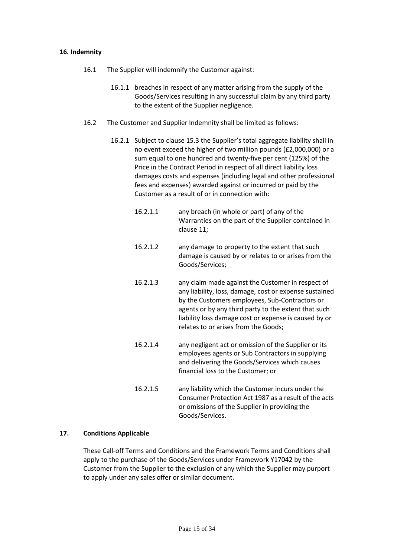#### **16. Indemnity**

- 16.1 The Supplier will indemnify the Customer against:
	- 16.1.1 breaches in respect of any matter arising from the supply of the Goods/Services resulting in any successful claim by any third party to the extent of the Supplier negligence.
- 16.2 The Customer and Supplier Indemnity shall be limited as follows:
	- 16.2.1 Subject to clause 15.3 the Supplier's total aggregate liability shall in no event exceed the higher of two million pounds (£2,000,000) or a sum equal to one hundred and twenty-five per cent (125%) of the Price in the Contract Period in respect of all direct liability loss damages costs and expenses (including legal and other professional fees and expenses) awarded against or incurred or paid by the Customer as a result of or in connection with:
		- 16.2.1.1 any breach (in whole or part) of any of the Warranties on the part of the Supplier contained in clause 11;
		- 16.2.1.2 any damage to property to the extent that such damage is caused by or relates to or arises from the Goods/Services;
		- 16.2.1.3 any claim made against the Customer in respect of any liability, loss, damage, cost or expense sustained by the Customers employees, Sub-Contractors or agents or by any third party to the extent that such liability loss damage cost or expense is caused by or relates to or arises from the Goods;
		- 16.2.1.4 any negligent act or omission of the Supplier or its employees agents or Sub Contractors in supplying and delivering the Goods/Services which causes financial loss to the Customer; or
		- 16.2.1.5 any liability which the Customer incurs under the Consumer Protection Act 1987 as a result of the acts or omissions of the Supplier in providing the Goods/Services.

#### **17. Conditions Applicable**

These Call-off Terms and Conditions and the Framework Terms and Conditions shall apply to the purchase of the Goods/Services under Framework Y17042 by the Customer from the Supplier to the exclusion of any which the Supplier may purport to apply under any sales offer or similar document.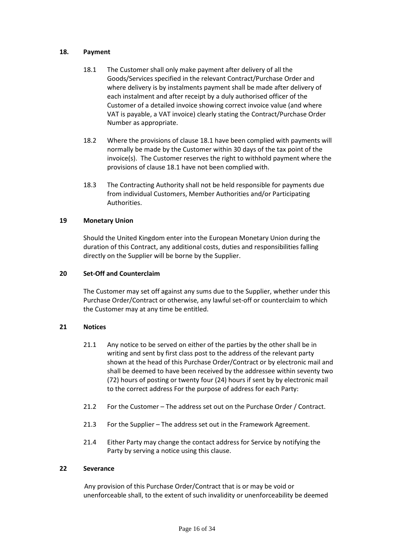#### **18. Payment**

- 18.1 The Customer shall only make payment after delivery of all the Goods/Services specified in the relevant Contract/Purchase Order and where delivery is by instalments payment shall be made after delivery of each instalment and after receipt by a duly authorised officer of the Customer of a detailed invoice showing correct invoice value (and where VAT is payable, a VAT invoice) clearly stating the Contract/Purchase Order Number as appropriate.
- 18.2 Where the provisions of clause 18.1 have been complied with payments will normally be made by the Customer within 30 days of the tax point of the invoice(s). The Customer reserves the right to withhold payment where the provisions of clause 18.1 have not been complied with.
- 18.3 The Contracting Authority shall not be held responsible for payments due from individual Customers, Member Authorities and/or Participating Authorities.

#### **19 Monetary Union**

Should the United Kingdom enter into the European Monetary Union during the duration of this Contract, any additional costs, duties and responsibilities falling directly on the Supplier will be borne by the Supplier.

#### **20 Set-Off and Counterclaim**

The Customer may set off against any sums due to the Supplier, whether under this Purchase Order/Contract or otherwise, any lawful set-off or counterclaim to which the Customer may at any time be entitled.

#### **21 Notices**

- 21.1 Any notice to be served on either of the parties by the other shall be in writing and sent by first class post to the address of the relevant party shown at the head of this Purchase Order/Contract or by electronic mail and shall be deemed to have been received by the addressee within seventy two (72) hours of posting or twenty four (24) hours if sent by by electronic mail to the correct address For the purpose of address for each Party:
- 21.2 For the Customer The address set out on the Purchase Order / Contract.
- 21.3 For the Supplier The address set out in the Framework Agreement.
- 21.4 Either Party may change the contact address for Service by notifying the Party by serving a notice using this clause.

#### **22 Severance**

Any provision of this Purchase Order/Contract that is or may be void or unenforceable shall, to the extent of such invalidity or unenforceability be deemed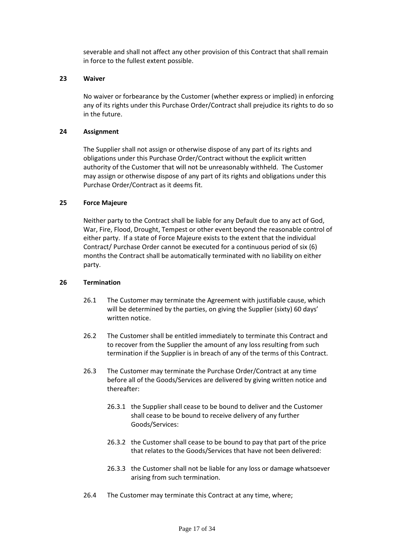severable and shall not affect any other provision of this Contract that shall remain in force to the fullest extent possible.

#### **23 Waiver**

No waiver or forbearance by the Customer (whether express or implied) in enforcing any of its rights under this Purchase Order/Contract shall prejudice its rights to do so in the future.

#### **24 Assignment**

The Supplier shall not assign or otherwise dispose of any part of its rights and obligations under this Purchase Order/Contract without the explicit written authority of the Customer that will not be unreasonably withheld. The Customer may assign or otherwise dispose of any part of its rights and obligations under this Purchase Order/Contract as it deems fit.

#### **25 Force Majeure**

Neither party to the Contract shall be liable for any Default due to any act of God, War, Fire, Flood, Drought, Tempest or other event beyond the reasonable control of either party. If a state of Force Majeure exists to the extent that the individual Contract/ Purchase Order cannot be executed for a continuous period of six (6) months the Contract shall be automatically terminated with no liability on either party.

#### **26 Termination**

- 26.1 The Customer may terminate the Agreement with justifiable cause, which will be determined by the parties, on giving the Supplier (sixty) 60 days' written notice.
- 26.2 The Customer shall be entitled immediately to terminate this Contract and to recover from the Supplier the amount of any loss resulting from such termination if the Supplier is in breach of any of the terms of this Contract.
- 26.3 The Customer may terminate the Purchase Order/Contract at any time before all of the Goods/Services are delivered by giving written notice and thereafter:
	- 26.3.1 the Supplier shall cease to be bound to deliver and the Customer shall cease to be bound to receive delivery of any further Goods/Services:
	- 26.3.2 the Customer shall cease to be bound to pay that part of the price that relates to the Goods/Services that have not been delivered:
	- 26.3.3 the Customer shall not be liable for any loss or damage whatsoever arising from such termination.
- 26.4 The Customer may terminate this Contract at any time, where;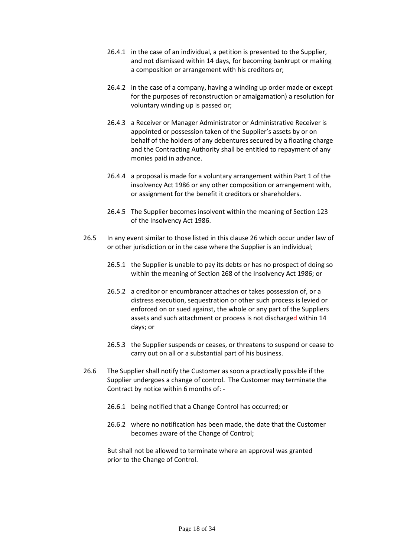- 26.4.1 in the case of an individual, a petition is presented to the Supplier, and not dismissed within 14 days, for becoming bankrupt or making a composition or arrangement with his creditors or;
- 26.4.2 in the case of a company, having a winding up order made or except for the purposes of reconstruction or amalgamation) a resolution for voluntary winding up is passed or;
- 26.4.3 a Receiver or Manager Administrator or Administrative Receiver is appointed or possession taken of the Supplier's assets by or on behalf of the holders of any debentures secured by a floating charge and the Contracting Authority shall be entitled to repayment of any monies paid in advance.
- 26.4.4 a proposal is made for a voluntary arrangement within Part 1 of the insolvency Act 1986 or any other composition or arrangement with, or assignment for the benefit it creditors or shareholders.
- 26.4.5 The Supplier becomes insolvent within the meaning of Section 123 of the Insolvency Act 1986.
- 26.5 In any event similar to those listed in this clause 26 which occur under law of or other jurisdiction or in the case where the Supplier is an individual;
	- 26.5.1 the Supplier is unable to pay its debts or has no prospect of doing so within the meaning of Section 268 of the Insolvency Act 1986; or
	- 26.5.2 a creditor or encumbrancer attaches or takes possession of, or a distress execution, sequestration or other such process is levied or enforced on or sued against, the whole or any part of the Suppliers assets and such attachment or process is not discharged within 14 days; or
	- 26.5.3 the Supplier suspends or ceases, or threatens to suspend or cease to carry out on all or a substantial part of his business.
- 26.6 The Supplier shall notify the Customer as soon a practically possible if the Supplier undergoes a change of control. The Customer may terminate the Contract by notice within 6 months of: -
	- 26.6.1 being notified that a Change Control has occurred; or
	- 26.6.2 where no notification has been made, the date that the Customer becomes aware of the Change of Control;

But shall not be allowed to terminate where an approval was granted prior to the Change of Control.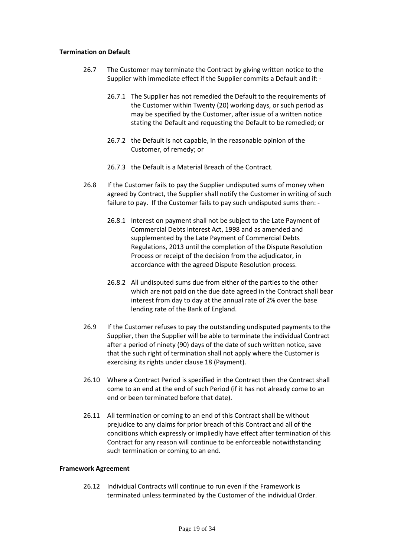#### **Termination on Default**

- 26.7 The Customer may terminate the Contract by giving written notice to the Supplier with immediate effect if the Supplier commits a Default and if: -
	- 26.7.1 The Supplier has not remedied the Default to the requirements of the Customer within Twenty (20) working days, or such period as may be specified by the Customer, after issue of a written notice stating the Default and requesting the Default to be remedied; or
	- 26.7.2 the Default is not capable, in the reasonable opinion of the Customer, of remedy; or
	- 26.7.3 the Default is a Material Breach of the Contract.
- 26.8 If the Customer fails to pay the Supplier undisputed sums of money when agreed by Contract, the Supplier shall notify the Customer in writing of such failure to pay. If the Customer fails to pay such undisputed sums then: -
	- 26.8.1 Interest on payment shall not be subject to the Late Payment of Commercial Debts Interest Act, 1998 and as amended and supplemented by the Late Payment of Commercial Debts Regulations, 2013 until the completion of the Dispute Resolution Process or receipt of the decision from the adjudicator, in accordance with the agreed Dispute Resolution process.
	- 26.8.2 All undisputed sums due from either of the parties to the other which are not paid on the due date agreed in the Contract shall bear interest from day to day at the annual rate of 2% over the base lending rate of the Bank of England.
- 26.9 If the Customer refuses to pay the outstanding undisputed payments to the Supplier, then the Supplier will be able to terminate the individual Contract after a period of ninety (90) days of the date of such written notice, save that the such right of termination shall not apply where the Customer is exercising its rights under clause 18 (Payment).
- 26.10 Where a Contract Period is specified in the Contract then the Contract shall come to an end at the end of such Period (if it has not already come to an end or been terminated before that date).
- 26.11 All termination or coming to an end of this Contract shall be without prejudice to any claims for prior breach of this Contract and all of the conditions which expressly or impliedly have effect after termination of this Contract for any reason will continue to be enforceable notwithstanding such termination or coming to an end.

#### **Framework Agreement**

26.12 Individual Contracts will continue to run even if the Framework is terminated unless terminated by the Customer of the individual Order.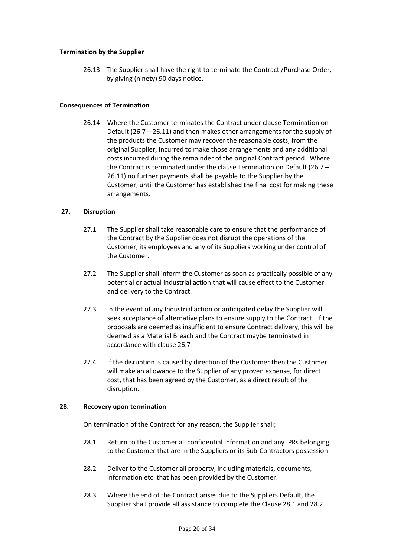#### **Termination by the Supplier**

26.13 The Supplier shall have the right to terminate the Contract /Purchase Order, by giving (ninety) 90 days notice.

#### **Consequences of Termination**

26.14 Where the Customer terminates the Contract under clause Termination on Default (26.7 – 26.11) and then makes other arrangements for the supply of the products the Customer may recover the reasonable costs, from the original Supplier, incurred to make those arrangements and any additional costs incurred during the remainder of the original Contract period. Where the Contract is terminated under the clause Termination on Default (26.7 – 26.11) no further payments shall be payable to the Supplier by the Customer, until the Customer has established the final cost for making these arrangements.

#### **27. Disruption**

- 27.1 The Supplier shall take reasonable care to ensure that the performance of the Contract by the Supplier does not disrupt the operations of the Customer, its employees and any of its Suppliers working under control of the Customer.
- 27.2 The Supplier shall inform the Customer as soon as practically possible of any potential or actual industrial action that will cause effect to the Customer and delivery to the Contract.
- 27.3 In the event of any Industrial action or anticipated delay the Supplier will seek acceptance of alternative plans to ensure supply to the Contract. If the proposals are deemed as insufficient to ensure Contract delivery, this will be deemed as a Material Breach and the Contract maybe terminated in accordance with clause 26.7
- 27.4 If the disruption is caused by direction of the Customer then the Customer will make an allowance to the Supplier of any proven expense, for direct cost, that has been agreed by the Customer, as a direct result of the disruption.

#### **28. Recovery upon termination**

On termination of the Contract for any reason, the Supplier shall;

- 28.1 Return to the Customer all confidential Information and any IPRs belonging to the Customer that are in the Suppliers or its Sub-Contractors possession
- 28.2 Deliver to the Customer all property, including materials, documents, information etc. that has been provided by the Customer.
- 28.3 Where the end of the Contract arises due to the Suppliers Default, the Supplier shall provide all assistance to complete the Clause 28.1 and 28.2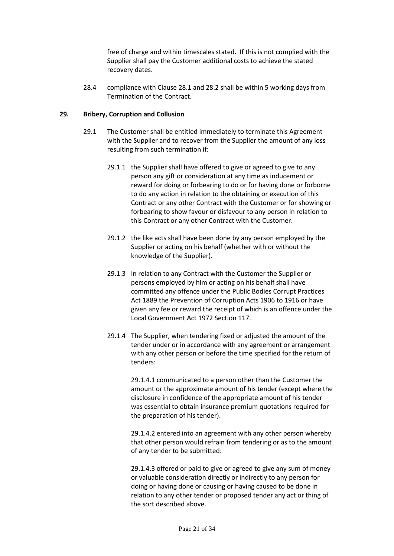free of charge and within timescales stated. If this is not complied with the Supplier shall pay the Customer additional costs to achieve the stated recovery dates.

28.4 compliance with Clause 28.1 and 28.2 shall be within 5 working days from Termination of the Contract.

#### **29. Bribery, Corruption and Collusion**

- 29.1 The Customer shall be entitled immediately to terminate this Agreement with the Supplier and to recover from the Supplier the amount of any loss resulting from such termination if:
	- 29.1.1 the Supplier shall have offered to give or agreed to give to any person any gift or consideration at any time as inducement or reward for doing or forbearing to do or for having done or forborne to do any action in relation to the obtaining or execution of this Contract or any other Contract with the Customer or for showing or forbearing to show favour or disfavour to any person in relation to this Contract or any other Contract with the Customer.
	- 29.1.2 the like acts shall have been done by any person employed by the Supplier or acting on his behalf (whether with or without the knowledge of the Supplier).
	- 29.1.3 In relation to any Contract with the Customer the Supplier or persons employed by him or acting on his behalf shall have committed any offence under the Public Bodies Corrupt Practices Act 1889 the Prevention of Corruption Acts 1906 to 1916 or have given any fee or reward the receipt of which is an offence under the Local Government Act 1972 Section 117.
	- 29.1.4 The Supplier, when tendering fixed or adjusted the amount of the tender under or in accordance with any agreement or arrangement with any other person or before the time specified for the return of tenders:

29.1.4.1 communicated to a person other than the Customer the amount or the approximate amount of his tender (except where the disclosure in confidence of the appropriate amount of his tender was essential to obtain insurance premium quotations required for the preparation of his tender).

29.1.4.2 entered into an agreement with any other person whereby that other person would refrain from tendering or as to the amount of any tender to be submitted:

29.1.4.3 offered or paid to give or agreed to give any sum of money or valuable consideration directly or indirectly to any person for doing or having done or causing or having caused to be done in relation to any other tender or proposed tender any act or thing of the sort described above.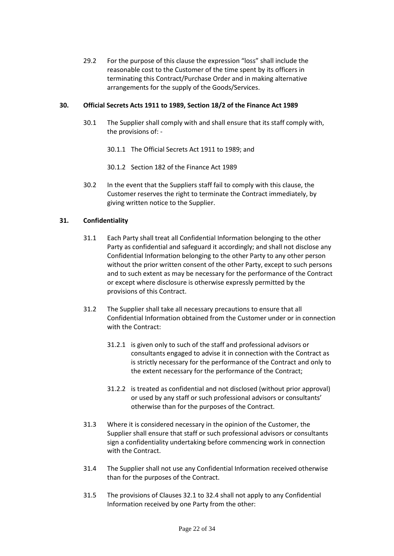29.2 For the purpose of this clause the expression "loss" shall include the reasonable cost to the Customer of the time spent by its officers in terminating this Contract/Purchase Order and in making alternative arrangements for the supply of the Goods/Services.

#### **30. Official Secrets Acts 1911 to 1989, Section 18/2 of the Finance Act 1989**

- 30.1 The Supplier shall comply with and shall ensure that its staff comply with, the provisions of: -
	- 30.1.1 The Official Secrets Act 1911 to 1989; and
	- 30.1.2 Section 182 of the Finance Act 1989
- 30.2 In the event that the Suppliers staff fail to comply with this clause, the Customer reserves the right to terminate the Contract immediately, by giving written notice to the Supplier.

## **31. Confidentiality**

- 31.1 Each Party shall treat all Confidential Information belonging to the other Party as confidential and safeguard it accordingly; and shall not disclose any Confidential Information belonging to the other Party to any other person without the prior written consent of the other Party, except to such persons and to such extent as may be necessary for the performance of the Contract or except where disclosure is otherwise expressly permitted by the provisions of this Contract.
- 31.2 The Supplier shall take all necessary precautions to ensure that all Confidential Information obtained from the Customer under or in connection with the Contract:
	- 31.2.1 is given only to such of the staff and professional advisors or consultants engaged to advise it in connection with the Contract as is strictly necessary for the performance of the Contract and only to the extent necessary for the performance of the Contract;
	- 31.2.2 is treated as confidential and not disclosed (without prior approval) or used by any staff or such professional advisors or consultants' otherwise than for the purposes of the Contract.
- 31.3 Where it is considered necessary in the opinion of the Customer, the Supplier shall ensure that staff or such professional advisors or consultants sign a confidentiality undertaking before commencing work in connection with the Contract.
- 31.4 The Supplier shall not use any Confidential Information received otherwise than for the purposes of the Contract.
- 31.5 The provisions of Clauses 32.1 to 32.4 shall not apply to any Confidential Information received by one Party from the other: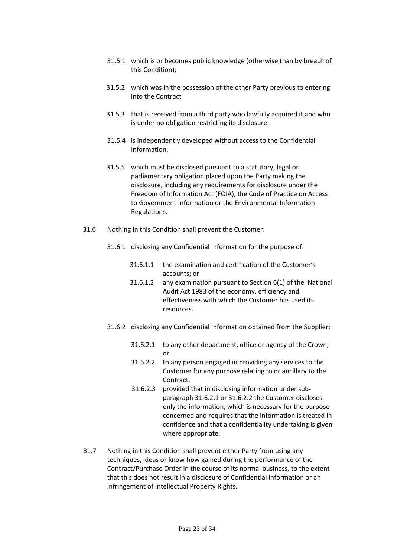- 31.5.1 which is or becomes public knowledge (otherwise than by breach of this Condition);
- 31.5.2 which was in the possession of the other Party previous to entering into the Contract
- 31.5.3 that is received from a third party who lawfully acquired it and who is under no obligation restricting its disclosure:
- 31.5.4 is independently developed without access to the Confidential Information.
- 31.5.5 which must be disclosed pursuant to a statutory, legal or parliamentary obligation placed upon the Party making the disclosure, including any requirements for disclosure under the Freedom of Information Act (FOIA), the Code of Practice on Access to Government Information or the Environmental Information Regulations.
- 31.6 Nothing in this Condition shall prevent the Customer:
	- 31.6.1 disclosing any Confidential Information for the purpose of:
		- 31.6.1.1 the examination and certification of the Customer's accounts; or
		- 31.6.1.2 any examination pursuant to Section 6(1) of the National Audit Act 1983 of the economy, efficiency and effectiveness with which the Customer has used its resources.
	- 31.6.2 disclosing any Confidential Information obtained from the Supplier:
		- 31.6.2.1 to any other department, office or agency of the Crown; or
		- 31.6.2.2 to any person engaged in providing any services to the Customer for any purpose relating to or ancillary to the Contract.
		- 31.6.2.3 provided that in disclosing information under subparagraph 31.6.2.1 or 31.6.2.2 the Customer discloses only the information, which is necessary for the purpose concerned and requires that the information is treated in confidence and that a confidentiality undertaking is given where appropriate.
- 31.7 Nothing in this Condition shall prevent either Party from using any techniques, ideas or know-how gained during the performance of the Contract/Purchase Order in the course of its normal business, to the extent that this does not result in a disclosure of Confidential Information or an infringement of Intellectual Property Rights.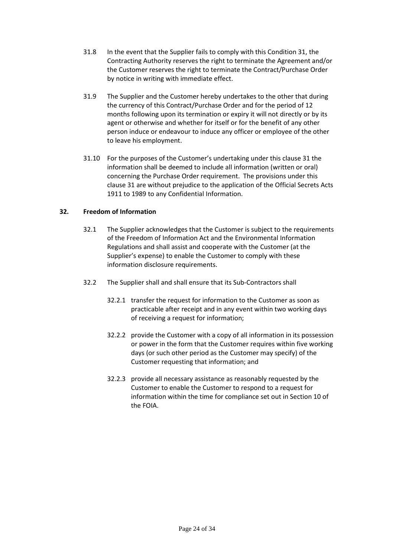- 31.8 In the event that the Supplier fails to comply with this Condition 31, the Contracting Authority reserves the right to terminate the Agreement and/or the Customer reserves the right to terminate the Contract/Purchase Order by notice in writing with immediate effect.
- 31.9 The Supplier and the Customer hereby undertakes to the other that during the currency of this Contract/Purchase Order and for the period of 12 months following upon its termination or expiry it will not directly or by its agent or otherwise and whether for itself or for the benefit of any other person induce or endeavour to induce any officer or employee of the other to leave his employment.
- 31.10 For the purposes of the Customer's undertaking under this clause 31 the information shall be deemed to include all information (written or oral) concerning the Purchase Order requirement. The provisions under this clause 31 are without prejudice to the application of the Official Secrets Acts 1911 to 1989 to any Confidential Information.

## **32. Freedom of Information**

- 32.1 The Supplier acknowledges that the Customer is subject to the requirements of the Freedom of Information Act and the Environmental Information Regulations and shall assist and cooperate with the Customer (at the Supplier's expense) to enable the Customer to comply with these information disclosure requirements.
- 32.2 The Supplier shall and shall ensure that its Sub-Contractors shall
	- 32.2.1 transfer the request for information to the Customer as soon as practicable after receipt and in any event within two working days of receiving a request for information;
	- 32.2.2 provide the Customer with a copy of all information in its possession or power in the form that the Customer requires within five working days (or such other period as the Customer may specify) of the Customer requesting that information; and
	- 32.2.3 provide all necessary assistance as reasonably requested by the Customer to enable the Customer to respond to a request for information within the time for compliance set out in Section 10 of the FOIA.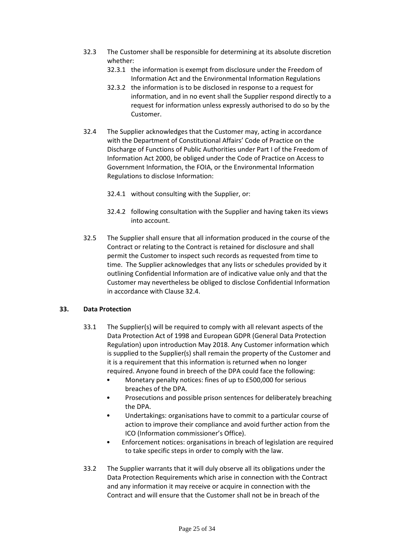- 32.3 The Customer shall be responsible for determining at its absolute discretion whether:
	- 32.3.1 the information is exempt from disclosure under the Freedom of Information Act and the Environmental Information Regulations
	- 32.3.2 the information is to be disclosed in response to a request for information, and in no event shall the Supplier respond directly to a request for information unless expressly authorised to do so by the Customer.
- 32.4 The Supplier acknowledges that the Customer may, acting in accordance with the Department of Constitutional Affairs' Code of Practice on the Discharge of Functions of Public Authorities under Part I of the Freedom of Information Act 2000, be obliged under the Code of Practice on Access to Government Information, the FOIA, or the Environmental Information Regulations to disclose Information:
	- 32.4.1 without consulting with the Supplier, or:
	- 32.4.2 following consultation with the Supplier and having taken its views into account.
- 32.5 The Supplier shall ensure that all information produced in the course of the Contract or relating to the Contract is retained for disclosure and shall permit the Customer to inspect such records as requested from time to time. The Supplier acknowledges that any lists or schedules provided by it outlining Confidential Information are of indicative value only and that the Customer may nevertheless be obliged to disclose Confidential Information in accordance with Clause 32.4.

#### **33. Data Protection**

- 33.1 The Supplier(s) will be required to comply with all relevant aspects of the Data Protection Act of 1998 and European GDPR (General Data Protection Regulation) upon introduction May 2018. Any Customer information which is supplied to the Supplier(s) shall remain the property of the Customer and it is a requirement that this information is returned when no longer required. Anyone found in breech of the DPA could face the following:
	- Monetary penalty notices: fines of up to £500,000 for serious breaches of the DPA.
	- Prosecutions and possible prison sentences for deliberately breaching the DPA.
	- Undertakings: organisations have to commit to a particular course of action to improve their compliance and avoid further action from the ICO (Information commissioner's Office).
	- Enforcement notices: organisations in breach of legislation are required to take specific steps in order to comply with the law.
- 33.2 The Supplier warrants that it will duly observe all its obligations under the Data Protection Requirements which arise in connection with the Contract and any information it may receive or acquire in connection with the Contract and will ensure that the Customer shall not be in breach of the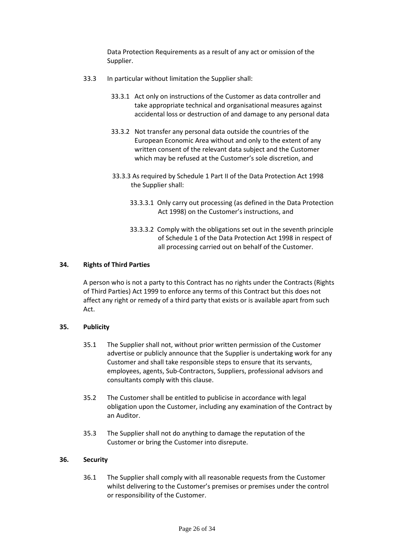Data Protection Requirements as a result of any act or omission of the Supplier.

- 33.3 In particular without limitation the Supplier shall:
	- 33.3.1 Act only on instructions of the Customer as data controller and take appropriate technical and organisational measures against accidental loss or destruction of and damage to any personal data
	- 33.3.2 Not transfer any personal data outside the countries of the European Economic Area without and only to the extent of any written consent of the relevant data subject and the Customer which may be refused at the Customer's sole discretion, and
	- 33.3.3 As required by Schedule 1 Part II of the Data Protection Act 1998 the Supplier shall:
		- 33.3.3.1 Only carry out processing (as defined in the Data Protection Act 1998) on the Customer's instructions, and
		- 33.3.3.2 Comply with the obligations set out in the seventh principle of Schedule 1 of the Data Protection Act 1998 in respect of all processing carried out on behalf of the Customer.

#### **34. Rights of Third Parties**

A person who is not a party to this Contract has no rights under the Contracts (Rights of Third Parties) Act 1999 to enforce any terms of this Contract but this does not affect any right or remedy of a third party that exists or is available apart from such Act.

#### **35. Publicity**

- 35.1 The Supplier shall not, without prior written permission of the Customer advertise or publicly announce that the Supplier is undertaking work for any Customer and shall take responsible steps to ensure that its servants, employees, agents, Sub-Contractors, Suppliers, professional advisors and consultants comply with this clause.
- 35.2 The Customer shall be entitled to publicise in accordance with legal obligation upon the Customer, including any examination of the Contract by an Auditor.
- 35.3 The Supplier shall not do anything to damage the reputation of the Customer or bring the Customer into disrepute.

#### **36. Security**

36.1 The Supplier shall comply with all reasonable requests from the Customer whilst delivering to the Customer's premises or premises under the control or responsibility of the Customer.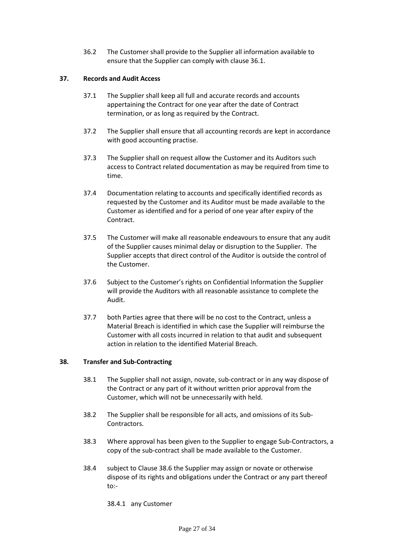36.2 The Customer shall provide to the Supplier all information available to ensure that the Supplier can comply with clause 36.1.

#### **37. Records and Audit Access**

- 37.1 The Supplier shall keep all full and accurate records and accounts appertaining the Contract for one year after the date of Contract termination, or as long as required by the Contract.
- 37.2 The Supplier shall ensure that all accounting records are kept in accordance with good accounting practise.
- 37.3 The Supplier shall on request allow the Customer and its Auditors such access to Contract related documentation as may be required from time to time.
- 37.4 Documentation relating to accounts and specifically identified records as requested by the Customer and its Auditor must be made available to the Customer as identified and for a period of one year after expiry of the Contract.
- 37.5 The Customer will make all reasonable endeavours to ensure that any audit of the Supplier causes minimal delay or disruption to the Supplier. The Supplier accepts that direct control of the Auditor is outside the control of the Customer.
- 37.6 Subject to the Customer's rights on Confidential Information the Supplier will provide the Auditors with all reasonable assistance to complete the Audit.
- 37.7 both Parties agree that there will be no cost to the Contract, unless a Material Breach is identified in which case the Supplier will reimburse the Customer with all costs incurred in relation to that audit and subsequent action in relation to the identified Material Breach.

#### **38. Transfer and Sub-Contracting**

- 38.1 The Supplier shall not assign, novate, sub-contract or in any way dispose of the Contract or any part of it without written prior approval from the Customer, which will not be unnecessarily with held.
- 38.2 The Supplier shall be responsible for all acts, and omissions of its Sub-Contractors.
- 38.3 Where approval has been given to the Supplier to engage Sub-Contractors, a copy of the sub-contract shall be made available to the Customer.
- 38.4 subject to Clause 38.6 the Supplier may assign or novate or otherwise dispose of its rights and obligations under the Contract or any part thereof to:-
	- 38.4.1 any Customer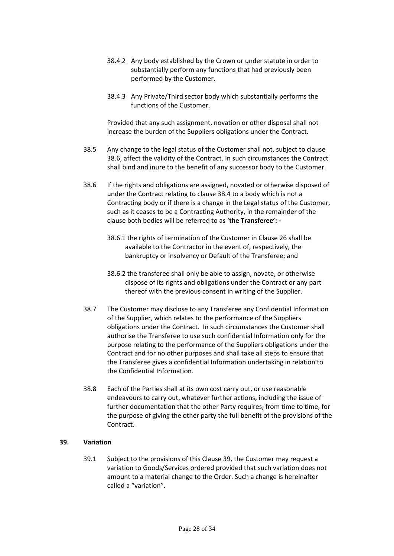- 38.4.2 Any body established by the Crown or under statute in order to substantially perform any functions that had previously been performed by the Customer.
- 38.4.3 Any Private/Third sector body which substantially performs the functions of the Customer.

Provided that any such assignment, novation or other disposal shall not increase the burden of the Suppliers obligations under the Contract.

- 38.5 Any change to the legal status of the Customer shall not, subject to clause 38.6, affect the validity of the Contract. In such circumstances the Contract shall bind and inure to the benefit of any successor body to the Customer.
- 38.6 If the rights and obligations are assigned, novated or otherwise disposed of under the Contract relating to clause 38.4 to a body which is not a Contracting body or if there is a change in the Legal status of the Customer, such as it ceases to be a Contracting Authority, in the remainder of the clause both bodies will be referred to as '**the Transferee': -**
	- 38.6.1 the rights of termination of the Customer in Clause 26 shall be available to the Contractor in the event of, respectively, the bankruptcy or insolvency or Default of the Transferee; and
	- 38.6.2 the transferee shall only be able to assign, novate, or otherwise dispose of its rights and obligations under the Contract or any part thereof with the previous consent in writing of the Supplier.
- 38.7 The Customer may disclose to any Transferee any Confidential Information of the Supplier, which relates to the performance of the Suppliers obligations under the Contract. In such circumstances the Customer shall authorise the Transferee to use such confidential Information only for the purpose relating to the performance of the Suppliers obligations under the Contract and for no other purposes and shall take all steps to ensure that the Transferee gives a confidential Information undertaking in relation to the Confidential Information.
- 38.8 Each of the Parties shall at its own cost carry out, or use reasonable endeavours to carry out, whatever further actions, including the issue of further documentation that the other Party requires, from time to time, for the purpose of giving the other party the full benefit of the provisions of the Contract.

#### **39. Variation**

39.1 Subject to the provisions of this Clause 39, the Customer may request a variation to Goods/Services ordered provided that such variation does not amount to a material change to the Order. Such a change is hereinafter called a "variation".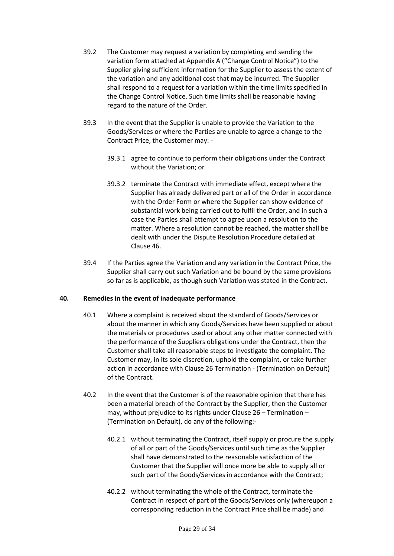- 39.2 The Customer may request a variation by completing and sending the variation form attached at Appendix A ("Change Control Notice") to the Supplier giving sufficient information for the Supplier to assess the extent of the variation and any additional cost that may be incurred. The Supplier shall respond to a request for a variation within the time limits specified in the Change Control Notice. Such time limits shall be reasonable having regard to the nature of the Order.
- 39.3 In the event that the Supplier is unable to provide the Variation to the Goods/Services or where the Parties are unable to agree a change to the Contract Price, the Customer may: -
	- 39.3.1 agree to continue to perform their obligations under the Contract without the Variation; or
	- 39.3.2 terminate the Contract with immediate effect, except where the Supplier has already delivered part or all of the Order in accordance with the Order Form or where the Supplier can show evidence of substantial work being carried out to fulfil the Order, and in such a case the Parties shall attempt to agree upon a resolution to the matter. Where a resolution cannot be reached, the matter shall be dealt with under the Dispute Resolution Procedure detailed at Clause 46.
- 39.4 If the Parties agree the Variation and any variation in the Contract Price, the Supplier shall carry out such Variation and be bound by the same provisions so far as is applicable, as though such Variation was stated in the Contract.

## **40. Remedies in the event of inadequate performance**

- 40.1 Where a complaint is received about the standard of Goods/Services or about the manner in which any Goods/Services have been supplied or about the materials or procedures used or about any other matter connected with the performance of the Suppliers obligations under the Contract, then the Customer shall take all reasonable steps to investigate the complaint. The Customer may, in its sole discretion, uphold the complaint, or take further action in accordance with Clause 26 Termination - (Termination on Default) of the Contract.
- 40.2 In the event that the Customer is of the reasonable opinion that there has been a material breach of the Contract by the Supplier, then the Customer may, without prejudice to its rights under Clause 26 – Termination – (Termination on Default), do any of the following:-
	- 40.2.1 without terminating the Contract, itself supply or procure the supply of all or part of the Goods/Services until such time as the Supplier shall have demonstrated to the reasonable satisfaction of the Customer that the Supplier will once more be able to supply all or such part of the Goods/Services in accordance with the Contract;
	- 40.2.2 without terminating the whole of the Contract, terminate the Contract in respect of part of the Goods/Services only (whereupon a corresponding reduction in the Contract Price shall be made) and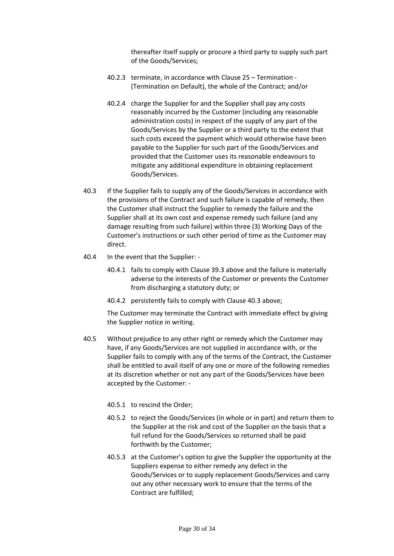thereafter itself supply or procure a third party to supply such part of the Goods/Services;

- 40.2.3 terminate, in accordance with Clause 25 Termination (Termination on Default), the whole of the Contract; and/or
- 40.2.4 charge the Supplier for and the Supplier shall pay any costs reasonably incurred by the Customer (including any reasonable administration costs) in respect of the supply of any part of the Goods/Services by the Supplier or a third party to the extent that such costs exceed the payment which would otherwise have been payable to the Supplier for such part of the Goods/Services and provided that the Customer uses its reasonable endeavours to mitigate any additional expenditure in obtaining replacement Goods/Services.
- 40.3 If the Supplier fails to supply any of the Goods/Services in accordance with the provisions of the Contract and such failure is capable of remedy, then the Customer shall instruct the Supplier to remedy the failure and the Supplier shall at its own cost and expense remedy such failure (and any damage resulting from such failure) within three (3) Working Days of the Customer's instructions or such other period of time as the Customer may direct.
- 40.4 In the event that the Supplier:
	- 40.4.1 fails to comply with Clause 39.3 above and the failure is materially adverse to the interests of the Customer or prevents the Customer from discharging a statutory duty; or
	- 40.4.2 persistently fails to comply with Clause 40.3 above;

The Customer may terminate the Contract with immediate effect by giving the Supplier notice in writing.

- 40.5 Without prejudice to any other right or remedy which the Customer may have, if any Goods/Services are not supplied in accordance with, or the Supplier fails to comply with any of the terms of the Contract, the Customer shall be entitled to avail itself of any one or more of the following remedies at its discretion whether or not any part of the Goods/Services have been accepted by the Customer: -
	- 40.5.1 to rescind the Order;
	- 40.5.2 to reject the Goods/Services (in whole or in part) and return them to the Supplier at the risk and cost of the Supplier on the basis that a full refund for the Goods/Services so returned shall be paid forthwith by the Customer;
	- 40.5.3 at the Customer's option to give the Supplier the opportunity at the Suppliers expense to either remedy any defect in the Goods/Services or to supply replacement Goods/Services and carry out any other necessary work to ensure that the terms of the Contract are fulfilled;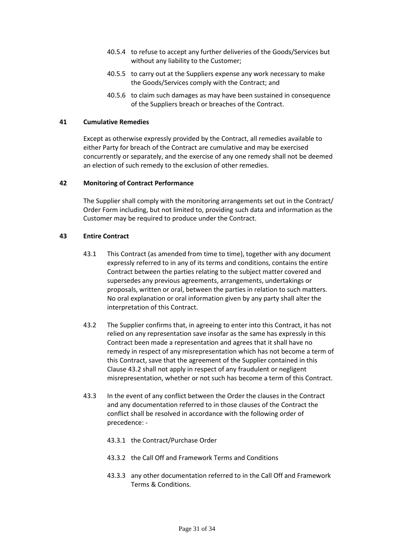- 40.5.4 to refuse to accept any further deliveries of the Goods/Services but without any liability to the Customer;
- 40.5.5 to carry out at the Suppliers expense any work necessary to make the Goods/Services comply with the Contract; and
- 40.5.6 to claim such damages as may have been sustained in consequence of the Suppliers breach or breaches of the Contract.

#### **41 Cumulative Remedies**

Except as otherwise expressly provided by the Contract, all remedies available to either Party for breach of the Contract are cumulative and may be exercised concurrently or separately, and the exercise of any one remedy shall not be deemed an election of such remedy to the exclusion of other remedies.

#### **42 Monitoring of Contract Performance**

The Supplier shall comply with the monitoring arrangements set out in the Contract/ Order Form including, but not limited to, providing such data and information as the Customer may be required to produce under the Contract.

#### **43 Entire Contract**

- 43.1 This Contract (as amended from time to time), together with any document expressly referred to in any of its terms and conditions, contains the entire Contract between the parties relating to the subject matter covered and supersedes any previous agreements, arrangements, undertakings or proposals, written or oral, between the parties in relation to such matters. No oral explanation or oral information given by any party shall alter the interpretation of this Contract.
- 43.2 The Supplier confirms that, in agreeing to enter into this Contract, it has not relied on any representation save insofar as the same has expressly in this Contract been made a representation and agrees that it shall have no remedy in respect of any misrepresentation which has not become a term of this Contract, save that the agreement of the Supplier contained in this Clause 43.2 shall not apply in respect of any fraudulent or negligent misrepresentation, whether or not such has become a term of this Contract.
- 43.3 In the event of any conflict between the Order the clauses in the Contract and any documentation referred to in those clauses of the Contract the conflict shall be resolved in accordance with the following order of precedence: -
	- 43.3.1 the Contract/Purchase Order
	- 43.3.2 the Call Off and Framework Terms and Conditions
	- 43.3.3 any other documentation referred to in the Call Off and Framework Terms & Conditions.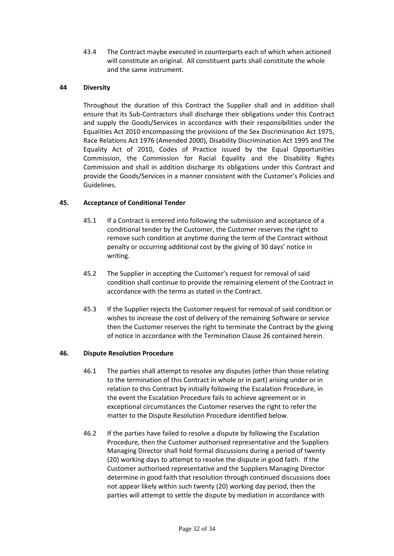43.4 The Contract maybe executed in counterparts each of which when actioned will constitute an original. All constituent parts shall constitute the whole and the same instrument.

#### **44 Diversity**

Throughout the duration of this Contract the Supplier shall and in addition shall ensure that its Sub-Contractors shall discharge their obligations under this Contract and supply the Goods/Services in accordance with their responsibilities under the Equalities Act 2010 encompassing the provisions of the Sex Discrimination Act 1975, Race Relations Act 1976 (Amended 2000), Disability Discrimination Act 1995 and The Equality Act of 2010, Codes of Practice issued by the Equal Opportunities Commission, the Commission for Racial Equality and the Disability Rights Commission and shall in addition discharge its obligations under this Contract and provide the Goods/Services in a manner consistent with the Customer's Policies and Guidelines.

#### **45. Acceptance of Conditional Tender**

- 45.1 If a Contract is entered into following the submission and acceptance of a conditional tender by the Customer, the Customer reserves the right to remove such condition at anytime during the term of the Contract without penalty or occurring additional cost by the giving of 30 days' notice in writing.
- 45.2 The Supplier in accepting the Customer's request for removal of said condition shall continue to provide the remaining element of the Contract in accordance with the terms as stated in the Contract.
- 45.3 If the Supplier rejects the Customer request for removal of said condition or wishes to increase the cost of delivery of the remaining Software or service then the Customer reserves the right to terminate the Contract by the giving of notice in accordance with the Termination Clause 26 contained herein.

#### **46. Dispute Resolution Procedure**

- 46.1 The parties shall attempt to resolve any disputes (other than those relating to the termination of this Contract in whole or in part) arising under or in relation to this Contract by initially following the Escalation Procedure, in the event the Escalation Procedure fails to achieve agreement or in exceptional circumstances the Customer reserves the right to refer the matter to the Dispute Resolution Procedure identified below.
- 46.2 If the parties have failed to resolve a dispute by following the Escalation Procedure, then the Customer authorised representative and the Suppliers Managing Director shall hold formal discussions during a period of twenty (20) working days to attempt to resolve the dispute in good faith. If the Customer authorised representative and the Suppliers Managing Director determine in good faith that resolution through continued discussions does not appear likely within such twenty (20) working day period, then the parties will attempt to settle the dispute by mediation in accordance with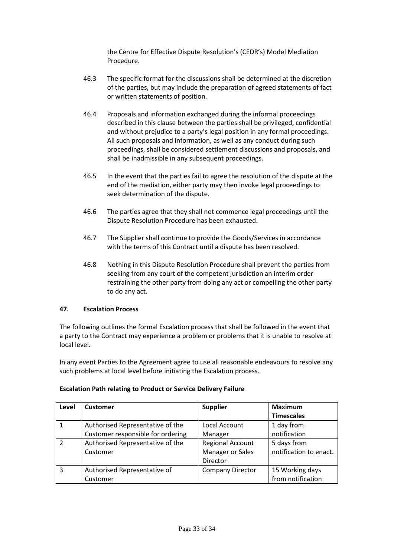the Centre for Effective Dispute Resolution's (CEDR's) Model Mediation Procedure.

- 46.3 The specific format for the discussions shall be determined at the discretion of the parties, but may include the preparation of agreed statements of fact or written statements of position.
- 46.4 Proposals and information exchanged during the informal proceedings described in this clause between the parties shall be privileged, confidential and without prejudice to a party's legal position in any formal proceedings. All such proposals and information, as well as any conduct during such proceedings, shall be considered settlement discussions and proposals, and shall be inadmissible in any subsequent proceedings.
- 46.5 In the event that the parties fail to agree the resolution of the dispute at the end of the mediation, either party may then invoke legal proceedings to seek determination of the dispute.
- 46.6 The parties agree that they shall not commence legal proceedings until the Dispute Resolution Procedure has been exhausted.
- 46.7 The Supplier shall continue to provide the Goods/Services in accordance with the terms of this Contract until a dispute has been resolved.
- 46.8 Nothing in this Dispute Resolution Procedure shall prevent the parties from seeking from any court of the competent jurisdiction an interim order restraining the other party from doing any act or compelling the other party to do any act.

#### **47. Escalation Process**

The following outlines the formal Escalation process that shall be followed in the event that a party to the Contract may experience a problem or problems that it is unable to resolve at local level.

In any event Parties to the Agreement agree to use all reasonable endeavours to resolve any such problems at local level before initiating the Escalation process.

| Level         | <b>Customer</b>                   | <b>Supplier</b>         | <b>Maximum</b>         |
|---------------|-----------------------------------|-------------------------|------------------------|
|               |                                   |                         | <b>Timescales</b>      |
|               | Authorised Representative of the  | Local Account           | 1 day from             |
|               | Customer responsible for ordering | Manager                 | notification           |
| $\mathcal{P}$ | Authorised Representative of the  | <b>Regional Account</b> | 5 days from            |
|               | Customer                          | Manager or Sales        | notification to enact. |
|               |                                   | Director                |                        |
| 3             | Authorised Representative of      | <b>Company Director</b> | 15 Working days        |
|               | Customer                          |                         | from notification      |

#### **Escalation Path relating to Product or Service Delivery Failure**